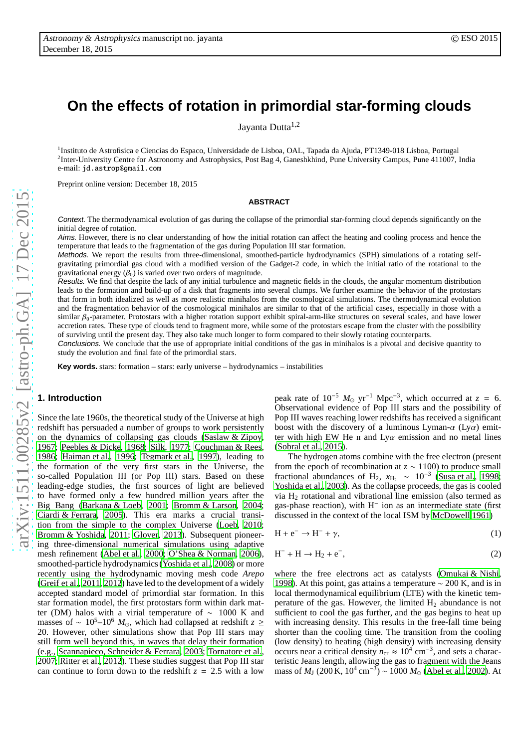# **On the effects of rotation in primordial star-forming clouds**

Jayanta Dutta<sup>1,2</sup>

<sup>1</sup>Instituto de Astrofisica e Ciencias do Espaco, Universidade de Lisboa, OAL, Tapada da Ajuda, PT1349-018 Lisboa, Portugal <sup>2</sup>Inter-University Centre for Astronomy and Astrophysics, Post Bag 4, Ganeshkhind, Pune University Campus, Pune 411007, India e-mail: jd.astrop@gmail.com

Preprint online version: December 18, 2015

## **ABSTRACT**

Context. The thermodynamical evolution of gas during the collapse of the primordial star-forming cloud depends significantly on the initial degree of rotation.

Aims. However, there is no clear understanding of how the initial rotation can affect the heating and cooling process and hence the temperature that leads to the fragmentation of the gas during Population III star formation.

Methods. We report the results from three-dimensional, smoothed-particle hydrodynamics (SPH) simulations of a rotating selfgravitating primordial gas cloud with a modified version of the Gadget-2 code, in which the initial ratio of the rotational to the gravitational energy  $(\beta_0)$  is varied over two orders of magnitude.

Results. We find that despite the lack of any initial turbulence and magnetic fields in the clouds, the angular momentum distribution leads to the formation and build-up of a disk that fragments into several clumps. We further examine the behavior of the protostars that form in both idealized as well as more realistic minihalos from the cosmological simulations. The thermodynamical evolution and the fragmentation behavior of the cosmological minihalos are similar to that of the artificial cases, especially in those with a similar β<sub>0</sub>-parameter. Protostars with a higher rotation support exhibit spiral-arm-like structures on several scales, and have lower accretion rates. These type of clouds tend to fragment more, while some of the protostars escape from the cluster with the possibility of surviving until the present day. They also take much longer to form compared to their slowly rotating counterparts.

Conclusions. We conclude that the use of appropriate initial conditions of the gas in minihalos is a pivotal and decisive quantity to study the evolution and final fate of the primordial stars.

**Key words.** stars: formation – stars: early universe – hydrodynamics – instabilities

# **1. Introduction**

Since the late 1960s, the theoretical study of the Universe at high redshift has persuaded a number of groups to work persistently on the dynamics of collapsing gas clouds [\(Saslaw & Zipoy,](#page-9-0) [1967](#page-9-0); [Peebles & Dicke, 1968;](#page-9-1) [Silk, 1977](#page-9-2); [Couchman & Rees](#page-8-0), [1986](#page-8-0); [Haiman et al.](#page-9-3), [1996](#page-9-3); [Tegmark et al.](#page-9-4), [1997\)](#page-9-4), leading to the formation of the very first stars in the Universe, the so-called Population III (or Pop III) stars. Based on these leading-edge studies, the first sources of light are believed to have formed only a few hundred million years after the Big Bang [\(Barkana & Loeb, 2001;](#page-8-1) [Bromm & Larson](#page-8-2), [2004](#page-8-2); [Ciardi & Ferrara, 2005\)](#page-8-3). This era marks a crucial transition from the simple to the complex Universe [\(Loeb](#page-9-5), [2010](#page-9-5); [Bromm & Yoshida, 2011;](#page-8-4) [Glover, 2013](#page-9-6)). Subsequent pioneering three-dimensional numerical simulations using adaptive mesh refinement [\(Abel et al., 2000;](#page-8-5) [O'Shea & Norman](#page-9-7), [2006](#page-9-7)), smoothed-particle hydrodynamics [\(Yoshida et al., 2008\)](#page-9-8) or more recently using the hydrodynamic moving mesh code *Arepo* [\(Greif et al.](#page-9-9), [2011,](#page-9-9) [2012\)](#page-9-10) have led to the development of a widely accepted standard model of primordial star formation. In this star formation model, the first protostars form within dark matter (DM) halos with a virial temperature of ∼ 1000 K and masses of ~ 10<sup>5</sup>–10<sup>6</sup>  $M_{\odot}$ , which had collapsed at redshift *z* ≥ 20. However, other simulations show that Pop III stars may still form well beyond this, in waves that delay their formation (e.g., [Scannapieco, Schneider & Ferrara](#page-9-11), [2003](#page-9-11); [Tornatore et al.](#page-9-12), [2007](#page-9-12); [Ritter et al., 2012\)](#page-9-13). These studies suggest that Pop III star can continue to form down to the redshift  $z = 2.5$  with a low

peak rate of  $10^{-5}$   $M_{\odot}$  yr<sup>-1</sup> Mpc<sup>-3</sup>, which occurred at *z* = 6. Observational evidence of Pop III stars and the possibility of Pop III waves reaching lower redshifts has received a significant boost with the discovery of a luminous Lyman- $\alpha$  (Ly $\alpha$ ) emitter with high EW He  $\pi$  and Ly $\alpha$  emission and no metal lines [\(Sobral et al.](#page-9-14), [2015\)](#page-9-14).

The hydrogen atoms combine with the free electron (present from the epoch of recombination at  $z \sim 1100$ ) to produce small fractional abundances of H<sub>2</sub>,  $x_{\text{H}_2} \sim 10^{-3}$  [\(Susa et al., 1998;](#page-9-15) [Yoshida et al., 2003\)](#page-9-16). As the collapse proceeds, the gas is cooled via  $H_2$  rotational and vibrational line emission (also termed as gas-phase reaction), with  $H^-$  ion as an intermediate state (first discussed in the context of the local ISM by [McDowell 1961\)](#page-9-17)

$$
H + e^- \to H^- + \gamma,\tag{1}
$$

$$
H^- + H \rightarrow H_2 + e^-, \tag{2}
$$

where the free electrons act as catalysts [\(Omukai & Nishi](#page-9-18), [1998\)](#page-9-18). At this point, gas attains a temperature  $\sim$  200 K, and is in local thermodynamical equilibrium (LTE) with the kinetic temperature of the gas. However, the limited  $H_2$  abundance is not sufficient to cool the gas further, and the gas begins to heat up with increasing density. This results in the free-fall time being shorter than the cooling time. The transition from the cooling (low density) to heating (high density) with increasing density occurs near a critical density  $n_{cr} \approx 10^4$  cm<sup>-3</sup>, and sets a characteristic Jeans length, allowing the gas to fragment with the Jeans mass of  $M_{\rm J}$  (200 K, 10<sup>4</sup> cm<sup>-3</sup>) ~ 1000  $M_{\odot}$  [\(Abel et al., 2002\)](#page-8-6). At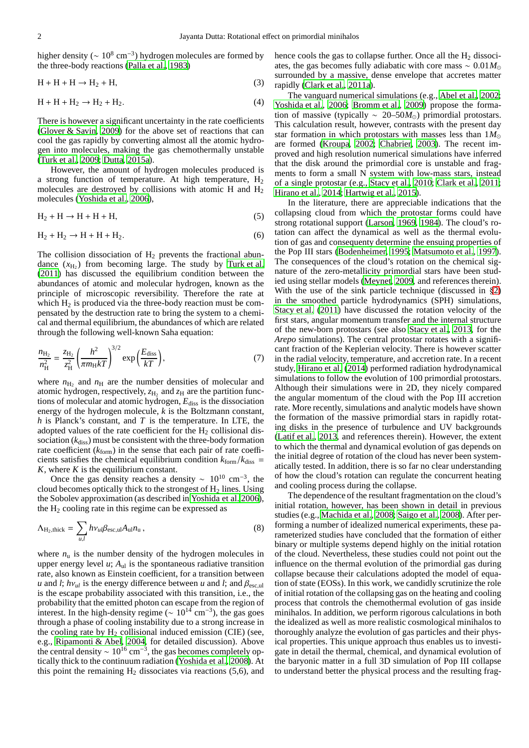higher density ( $\sim 10^8 \text{ cm}^{-3}$ ) hydrogen molecules are formed by the three-body reactions [\(Palla et al., 1983\)](#page-9-19)

$$
H + H + H \rightarrow H_2 + H,\tag{3}
$$

$$
H + H + H_2 \rightarrow H_2 + H_2. \tag{4}
$$

There is however a significant uncertainty in the rate coefficients [\(Glover & Savin](#page-9-20), [2009\)](#page-9-20) for the above set of reactions that can cool the gas rapidly by converting almost all the atomic hydrogen into molecules, making the gas chemothermally unstable [\(Turk et al.](#page-9-21), [2009](#page-9-21); [Dutta, 2015a\)](#page-9-22).

However, the amount of hydrogen molecules produced is a strong function of temperature. At high temperature,  $H_2$ molecules are destroyed by collisions with atomic H and  $H_2$ molecules [\(Yoshida et al.](#page-9-23), [2006](#page-9-23)),

$$
H_2 + H \to H + H + H,\tag{5}
$$

$$
H_2 + H_2 \rightarrow H + H + H_2. \tag{6}
$$

The collision dissociation of  $H_2$  prevents the fractional abundance  $(x_{H_2})$  from becoming large. The study by [Turk et al.](#page-9-24) [\(2011\)](#page-9-24) has discussed the equilibrium condition between the abundances of atomic and molecular hydrogen, known as the principle of microscopic reversibility. Therefore the rate at which  $H_2$  is produced via the three-body reaction must be compensated by the destruction rate to bring the system to a chemical and thermal equilibrium, the abundances of which are related through the following well-known Saha equation:

$$
\frac{n_{\text{H}_2}}{n_{\text{H}}^2} = \frac{z_{\text{H}_2}}{z_{\text{H}}^2} \left(\frac{h^2}{\pi m_{\text{H}} kT}\right)^{3/2} \exp\left(\frac{E_{\text{diss}}}{kT}\right),\tag{7}
$$

where  $n_{\text{H}_2}$  and  $n_{\text{H}}$  are the number densities of molecular and atomic hydrogen, respectively,  $z_{\text{H}_2}$  and  $z_{\text{H}}$  are the partition functions of molecular and atomic hydrogen,  $E_{\text{diss}}$  is the dissociation energy of the hydrogen molecule, *k* is the Boltzmann constant, *h* is Planck's constant, and *T* is the temperature. In LTE, the adopted values of the rate coefficient for the  $H<sub>2</sub>$  collisional dissociation (*k*diss) must be consistent with the three-body formation rate coefficient  $(k<sub>form</sub>)$  in the sense that each pair of rate coefficients satisfies the chemical equilibrium condition  $k_{\text{form}}/k_{\text{diss}} =$ *K*, where *K* is the equilibrium constant.

Once the gas density reaches a density ~  $10^{10}$  cm<sup>-3</sup>, the cloud becomes optically thick to the strongest of  $H_2$  lines. Using the Sobolev approximation (as described in [Yoshida et al. 2006](#page-9-23)), the  $H_2$  cooling rate in this regime can be expressed as

$$
\Lambda_{\text{H}_2,\text{thick}} = \sum_{u,l} h v_{ul} \beta_{\text{esc,ul}} A_{\text{ul}} n_{\text{u}} ,\qquad (8)
$$

where  $n_u$  is the number density of the hydrogen molecules in upper energy level  $u$ ;  $A<sub>ul</sub>$  is the spontaneous radiative transition rate, also known as Einstein coefficient, for a transition between *u* and *l*; *h* $v_{ul}$  is the energy difference between *u* and *l*; and  $\beta_{\text{esc,ul}}$ is the escape probability associated with this transition, i.e., the probability that the emitted photon can escape from the region of interest. In the high-density regime ( $\sim 10^{14}$  cm<sup>-3</sup>), the gas goes through a phase of cooling instability due to a strong increase in the cooling rate by  $H_2$  collisional induced emission (CIE) (see, e.g., [Ripamonti & Abel, 2004,](#page-9-25) for detailed discussion). Above the central density ~  $10^{16}$  cm<sup>-3</sup>, the gas becomes completely optically thick to the continuum radiation [\(Yoshida et al., 2008](#page-9-8)). At this point the remaining  $H_2$  dissociates via reactions (5,6), and hence cools the gas to collapse further. Once all the  $H_2$  dissociates, the gas becomes fully adiabatic with core mass  $\sim 0.01 M_{\odot}$ surrounded by a massive, dense envelope that accretes matter rapidly [\(Clark et al., 2011a\)](#page-8-7).

The vanguard numerical simulations (e.g., [Abel et al., 2002;](#page-8-6) [Yoshida et al., 2006;](#page-9-23) [Bromm et al.](#page-8-8), [2009](#page-8-8)) propose the formation of massive (typically ∼ 20–50*M*⊙) primordial protostars. This calculation result, however, contrasts with the present day star formation in which protostars with masses less than 1*M*<sup>⊙</sup> are formed [\(Kroupa, 2002](#page-9-26); [Chabrier, 2003\)](#page-8-9). The recent improved and high resolution numerical simulations have inferred that the disk around the primordial core is unstable and fragments to form a small N system with low-mass stars, instead of a single protostar (e.g., [Stacy et al.](#page-9-27), [2010;](#page-9-27) [Clark et al.](#page-8-10), [2011;](#page-8-10) [Hirano et al.](#page-9-28), [2014;](#page-9-28) [Hartwig et al.](#page-9-29), [2015](#page-9-29)).

In the literature, there are appreciable indications that the collapsing cloud from which the protostar forms could have strong rotational support [\(Larson, 1969,](#page-9-30) [1984\)](#page-9-31). The cloud's rotation can affect the dynamical as well as the thermal evolution of gas and consequenty determine the ensuing properties of the Pop III stars [\(Bodenheimer, 1995;](#page-8-11) [Matsumoto et al.](#page-9-32), [1997\)](#page-9-32). The consequences of the cloud's rotation on the chemical signature of the zero-metallicity primordial stars have been studied using stellar models [\(Meynet, 2009,](#page-9-33) and references therein). With the use of the sink particle technique (discussed in §[2\)](#page-2-0) in the smoothed particle hydrodynamics (SPH) simulations, [Stacy et al. \(2011](#page-9-34)) have discussed the rotation velocity of the first stars, angular momentum transfer and the internal structure of the new-born protostars (see also [Stacy et al.](#page-9-35), [2013](#page-9-35), for the *Arepo* simulations). The central protostar rotates with a significant fraction of the Keplerian velocity. There is however scatter in the radial velocity, temperature, and accretion rate. In a recent study, [Hirano et al.](#page-9-28) [\(2014\)](#page-9-28) performed radiation hydrodynamical simulations to follow the evolution of 100 primordial protostars. Although their simulations were in 2D, they nicely compared the angular momentum of the cloud with the Pop III accretion rate. More recently, simulations and analytic models have shown the formation of the massive primordial stars in rapidly rotating disks in the presence of turbulence and UV backgrounds [\(Latif et al.](#page-9-36), [2013,](#page-9-36) and references therein). However, the extent to which the thermal and dynamical evolution of gas depends on the initial degree of rotation of the cloud has never been systematically tested. In addition, there is so far no clear understanding of how the cloud's rotation can regulate the concurrent heating and cooling process during the collapse.

The dependence of the resultant fragmentation on the cloud's initial rotation, however, has been shown in detail in previous studies (e.g., [Machida et al., 2008;](#page-9-37) [Saigo et al.](#page-9-38), [2008\)](#page-9-38). After performing a number of idealized numerical experiments, these parameterized studies have concluded that the formation of either binary or multiple systems depend highly on the initial rotation of the cloud. Nevertheless, these studies could not point out the influence on the thermal evolution of the primordial gas during collapse because their calculations adopted the model of equation of state (EOSs). In this work, we candidly scrutinize the role of initial rotation of the collapsing gas on the heating and cooling process that controls the chemothermal evolution of gas inside minihalos. In addition, we perform rigorous calculations in both the idealized as well as more realistic cosmological minihalos to thoroughly analyze the evolution of gas particles and their physical properties. This unique approach thus enables us to investigate in detail the thermal, chemical, and dynamical evolution of the baryonic matter in a full 3D simulation of Pop III collapse to understand better the physical process and the resulting frag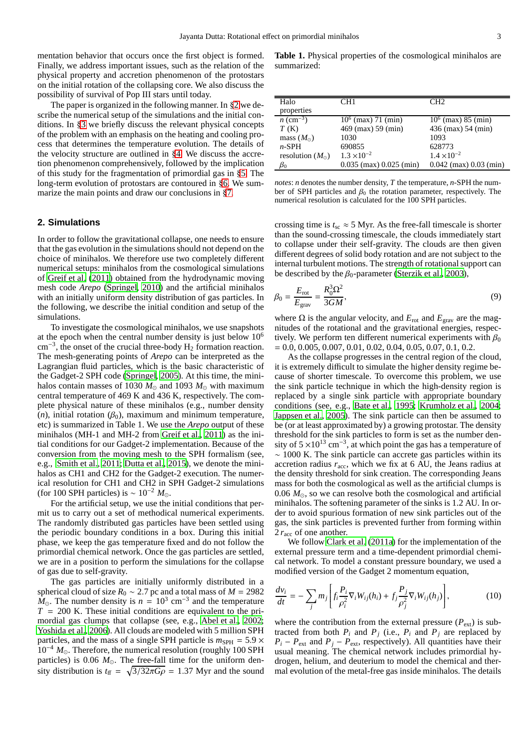mentation behavior that occurs once the first object is formed. Finally, we address important issues, such as the relation of the physical property and accretion phenomenon of the protostars on the initial rotation of the collapsing core. We also discuss the possibility of survival of Pop III stars until today.

The paper is organized in the following manner. In §[2](#page-2-0) we describe the numerical setup of the simulations and the initial conditions. In §[3](#page-3-0) we briefly discuss the relevant physical concepts of the problem with an emphasis on the heating and cooling process that determines the temperature evolution. The details of the velocity structure are outlined in §[4.](#page-3-1) We discuss the accretion phenomenon comprehensively, followed by the implication of this study for the fragmentation of primordial gas in §[5.](#page-3-2) The long-term evolution of protostars are contoured in §[6.](#page-5-0) We summarize the main points and draw our conclusions in §[7.](#page-7-0)

# <span id="page-2-0"></span>**2. Simulations**

In order to follow the gravitational collapse, one needs to ensure that the gas evolution in the simulations should not depend on the choice of minihalos. We therefore use two completely different numerical setups: minihalos from the cosmological simulations of [Greif et al. \(2011](#page-9-9)) obtained from the hydrodynamic moving mesh code *Arepo* [\(Springel, 2010](#page-9-39)) and the artificial minihalos with an initially uniform density distribution of gas particles. In the following, we describe the initial condition and setup of the simulations.

To investigate the cosmological minihalos, we use snapshots at the epoch when the central number density is just below  $10<sup>6</sup>$ cm<sup>-3</sup>, the onset of the crucial three-body H<sub>2</sub> formation reaction. The mesh-generating points of *Arepo* can be interpreted as the Lagrangian fluid particles, which is the basic characteristic of the Gadget-2 SPH code [\(Springel, 2005\)](#page-9-40). At this time, the minihalos contain masses of 1030  $M_{\odot}$  and 1093  $M_{\odot}$  with maximum central temperature of 469 K and 436 K, respectively. The complete physical nature of these minihalos (e.g., number density  $(n)$ , initial rotation  $(\beta_0)$ , maximum and minimum temperature, etc) is summarized in Table 1. We use the *Arepo* output of these minihalos (MH-1 and MH-2 from [Greif et al.](#page-9-9), [2011\)](#page-9-9) as the initial conditions for our Gadget-2 implementation. Because of the conversion from the moving mesh to the SPH formalism (see, e.g., [Smith et al., 2011;](#page-9-41) [Dutta et al.](#page-9-42), [2015](#page-9-42)), we denote the minihalos as CH1 and CH2 for the Gadget-2 execution. The numerical resolution for CH1 and CH2 in SPH Gadget-2 simulations (for 100 SPH particles) is  $\sim 10^{-2} M_{\odot}$ .

For the artificial setup, we use the initial conditions that permit us to carry out a set of methodical numerical experiments. The randomly distributed gas particles have been settled using the periodic boundary conditions in a box. During this initial phase, we keep the gas temperature fixed and do not follow the primordial chemical network. Once the gas particles are settled, we are in a position to perform the simulations for the collapse of gas due to self-gravity.

The gas particles are initially uniformly distributed in a spherical cloud of size  $R_0 \sim 2.7$  pc and a total mass of  $M = 2982$  $\overline{M}_{\odot}$ . The number density is  $n = 10^3$  cm<sup>-3</sup> and the temperature  $T = 200$  K. These initial conditions are equivalent to the primordial gas clumps that collapse (see, e.g., [Abel et al., 2002](#page-8-6); [Yoshida et al.](#page-9-23), [2006\)](#page-9-23). All clouds are modeled with 5 million SPH particles, and the mass of a single SPH particle is  $m_{SPH} = 5.9 \times$ <sup>10</sup>−<sup>4</sup> *<sup>M</sup>*⊙. Therefore, the numerical resolution (roughly 100 SPH particles) is 0.06  $M_{\odot}$ . The free-fall time for the uniform density distribution is  $t_{\text{ff}} = \sqrt{3/32\pi G\rho} = 1.37$  Myr and the sound

**Table 1.** Physical properties of the cosmological minihalos are summarized:

| Halo                     | CH1                         | CH <sub>2</sub>            |
|--------------------------|-----------------------------|----------------------------|
| properties               |                             |                            |
| $n \overline{(cm^{-3})}$ | $10^6$ (max) 71 (min)       | $10^6$ (max) 85 (min)      |
| T(K)                     | 469 (max) 59 (min)          | 436 (max) 54 (min)         |
| mass $(M_{\odot})$       | 1030                        | 1093                       |
| $n$ -SPH                 | 690855                      | 628773                     |
| resolution $(M_{\odot})$ | $1.3 \times 10^{-2}$        | $1.4 \times 10^{-2}$       |
| $\beta_0$                | $0.035$ (max) $0.025$ (min) | $0.042$ (max) $0.03$ (min) |

*notes*: *n* denotes the number density, *T* the temperature, *n*-SPH the number of SPH particles and  $\beta_0$  the rotation parameter, respectively. The numerical resolution is calculated for the 100 SPH particles.

crossing time is  $t_{sc} \approx 5$  Myr. As the free-fall timescale is shorter than the sound-crossing timescale, the clouds immediately start to collapse under their self-gravity. The clouds are then given different degrees of solid body rotation and are not subject to the internal turbulent motions. The strength of rotational support can be described by the  $\beta_0$ -parameter [\(Sterzik et al., 2003\)](#page-9-43),

$$
\beta_0 = \frac{E_{\rm rot}}{E_{\rm grav}} = \frac{R_0^3 \Omega^2}{3GM},\tag{9}
$$

where  $\Omega$  is the angular velocity, and  $E_{\text{rot}}$  and  $E_{\text{grav}}$  are the magnitudes of the rotational and the gravitational energies, respectively. We perform ten different numerical experiments with  $\beta_0$  $= 0.0, 0.005, 0.007, 0.01, 0.02, 0.04, 0.05, 0.07, 0.1, 0.2.$ 

As the collapse progresses in the central region of the cloud, it is extremely difficult to simulate the higher density regime because of shorter timescale. To overcome this problem, we use the sink particle technique in which the high-density region is replaced by a single sink particle with appropriate boundary conditions (see, e.g., [Bate et al.](#page-8-12), [1995](#page-8-12); [Krumholz et al.](#page-9-44), [2004;](#page-9-44) [Jappsen et al.](#page-9-45), [2005\)](#page-9-45). The sink particle can then be assumed to be (or at least approximated by) a growing protostar. The density threshold for the sink particles to form is set as the number density of  $5 \times 10^{13}$  cm<sup>-3</sup>, at which point the gas has a temperature of ∼ 1000 K. The sink particle can accrete gas particles within its accretion radius  $r_{\text{acc}}$ , which we fix at 6 AU, the Jeans radius at the density threshold for sink creation. The corresponding Jeans mass for both the cosmological as well as the artificial clumps is 0.06  $M_{\odot}$ , so we can resolve both the cosmological and artificial minihalos. The softening parameter of the sinks is 1.2 AU. In order to avoid spurious formation of new sink particles out of the gas, the sink particles is prevented further from forming within 2  $r_{\text{acc}}$  of one another.

We follow [Clark et al. \(2011a\)](#page-8-7) for the implementation of the external pressure term and a time-dependent primordial chemical network. To model a constant pressure boundary, we used a modified version of the Gadget 2 momentum equation,

$$
\frac{dv_i}{dt} = -\sum_j m_j \left[ f_i \frac{P_i}{\rho_i^2} \nabla_i W_{ij}(h_i) + f_j \frac{P_j}{\rho_j^2} \nabla_i W_{ij}(h_j) \right],\tag{10}
$$

where the contribution from the external pressure  $(P_{ext})$  is subtracted from both  $P_i$  and  $P_j$  (i.e.,  $P_i$  and  $P_j$  are replaced by  $P_i - P_{ext}$  and  $P_j - P_{ext}$ , respectively). All quantities have their usual meaning. The chemical network includes primordial hydrogen, helium, and deuterium to model the chemical and thermal evolution of the metal-free gas inside minihalos. The details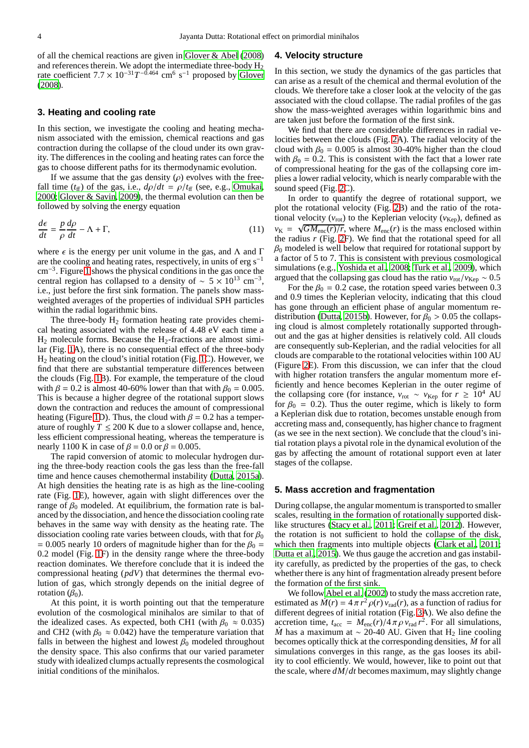of all the chemical reactions are given in [Glover & Abel](#page-9-46) [\(2008\)](#page-9-46) and references therein. We adopt the intermediate three-body  $H_2$ rate coefficient  $7.7 \times 10^{-31} T^{-0.464}$  cm<sup>6</sup> s<sup>-1</sup> proposed by [Glover](#page-9-47) [\(2008\)](#page-9-47).

# <span id="page-3-0"></span>**3. Heating and cooling rate**

In this section, we investigate the cooling and heating mechanism associated with the emission, chemical reactions and gas contraction during the collapse of the cloud under its own gravity. The differences in the cooling and heating rates can force the gas to choose different paths for its thermodynamic evolution.

If we assume that the gas density  $(\rho)$  evolves with the freefall time ( $t_{\text{ff}}$ ) of the gas, i.e.,  $d\rho/dt = \rho/t_{\text{ff}}$  (see, e.g., [Omukai,](#page-9-48) [2000](#page-9-48); [Glover & Savin](#page-9-20), [2009](#page-9-20)), the thermal evolution can then be followed by solving the energy equation

$$
\frac{d\epsilon}{dt} = \frac{p}{\rho} \frac{d\rho}{dt} - \Lambda + \Gamma,\tag{11}
$$

where  $\epsilon$  is the energy per unit volume in the gas, and  $\Lambda$  and  $\Gamma$ are the cooling and heating rates, respectively, in units of erg  $s^{-1}$ cm−<sup>3</sup> . Figure [1](#page-4-0) shows the physical conditions in the gas once the central region has collapsed to a density of ~  $5 \times 10^{13}$  cm<sup>-3</sup>, i.e., just before the first sink formation. The panels show massweighted averages of the properties of individual SPH particles within the radial logarithmic bins.

The three-body  $H_2$  formation heating rate provides chemical heating associated with the release of 4.48 eV each time a  $H_2$  molecule forms. Because the  $H_2$ -fractions are almost similar (Fig. [1A](#page-4-0)), there is no consequential effect of the three-body H<sup>2</sup> heating on the cloud's initial rotation (Fig. [1C](#page-4-0)). However, we find that there are substantial temperature differences between the clouds (Fig. [1B](#page-4-0)). For example, the temperature of the cloud with  $\beta = 0.2$  is almost 40-60% lower than that with  $\beta_0 = 0.005$ . This is because a higher degree of the rotational support slows down the contraction and reduces the amount of compressional heating (Figure [1D](#page-4-0)). Thus, the cloud with  $\beta = 0.2$  has a temperature of roughly  $T \le 200$  K due to a slower collapse and, hence, less efficient compressional heating, whereas the temperature is nearly 1100 K in case of  $\beta = 0.0$  or  $\beta = 0.005$ .

The rapid conversion of atomic to molecular hydrogen during the three-body reaction cools the gas less than the free-fall time and hence causes chemothermal instability [\(Dutta, 2015a](#page-9-22)). At high densities the heating rate is as high as the line-cooling rate (Fig. [1E](#page-4-0)), however, again with slight differences over the range of  $\beta_0$  modeled. At equilibrium, the formation rate is balanced by the dissociation, and hence the dissociation cooling rate behaves in the same way with density as the heating rate. The dissociation cooling rate varies between clouds, with that for  $\beta_0$ = 0.005 nearly 10 orders of magnitude higher than for the  $\beta_0$  = 0.2 model (Fig. [1F](#page-4-0)) in the density range where the three-body reaction dominates. We therefore conclude that it is indeed the compressional heating (*pdV*) that determines the thermal evolution of gas, which strongly depends on the initial degree of rotation  $(\beta_0)$ .

At this point, it is worth pointing out that the temperature evolution of the cosmological minihalos are similar to that of the idealized cases. As expected, both CH1 (with  $\beta_0 \approx 0.035$ ) and CH2 (with  $\beta_0 \approx 0.042$ ) have the temperature variation that falls in between the highest and lowest  $\beta_0$  modeled throughout the density space. This also confirms that our varied parameter study with idealized clumps actually represents the cosmological initial conditions of the minihalos.

#### <span id="page-3-1"></span>**4. Velocity structure**

In this section, we study the dynamics of the gas particles that can arise as a result of the chemical and thermal evolution of the clouds. We therefore take a closer look at the velocity of the gas associated with the cloud collapse. The radial profiles of the gas show the mass-weighted averages within logarithmic bins and are taken just before the formation of the first sink.

We find that there are considerable differences in radial velocities between the clouds (Fig. [2A](#page-4-1)). The radial velocity of the cloud with  $\beta_0 = 0.005$  is almost 30-40% higher than the cloud with  $\beta_0 = 0.2$ . This is consistent with the fact that a lower rate of compressional heating for the gas of the collapsing core implies a lower radial velocity, which is nearly comparable with the sound speed (Fig. [2C](#page-4-1)).

In order to quantify the degree of rotational support, we plot the rotational velocity (Fig. [2B](#page-4-1)) and the ratio of the rotational velocity ( $v_{\text{rot}}$ ) to the Keplerian velocity ( $v_{\text{Kep}}$ ), defined as  $v_{\rm K} = \sqrt{GM_{\rm enc}(r)/r}$ , where  $M_{\rm enc}(r)$  is the mass enclosed within the radius *r* (Fig. [2F](#page-4-1)). We find that the rotational speed for all  $\beta_0$  modeled is well below that required for rotational support by a factor of 5 to 7. This is consistent with previous cosmological simulations (e.g., [Yoshida et al.](#page-9-8), [2008;](#page-9-8) [Turk et al., 2009\)](#page-9-21), which argued that the collapsing gas cloud has the ratio  $v_{\text{rot}}/v_{\text{Kep}} \sim 0.5$ 

For the  $\beta_0 = 0.2$  case, the rotation speed varies between 0.3 and 0.9 times the Keplerian velocity, indicating that this cloud has gone through an efficient phase of angular momentum re-distribution [\(Dutta, 2015b\)](#page-9-49). However, for  $\beta_0 > 0.05$  the collapsing cloud is almost completely rotationally supported throughout and the gas at higher densities is relatively cold. All clouds are consequently sub-Keplerian, and the radial velocities for all clouds are comparable to the rotational velocities within 100 AU (Figure [2E](#page-4-1)). From this discussion, we can infer that the cloud with higher rotation transfers the angular momentum more efficiently and hence becomes Keplerian in the outer regime of the collapsing core (for instance,  $v_{\text{rot}} \sim v_{\text{Kep}}$  for  $r \ge 10^4$  AU for  $\beta_0 = 0.2$ ). Thus the outer regime, which is likely to form a Keplerian disk due to rotation, becomes unstable enough from accreting mass and, consequently, has higher chance to fragment (as we see in the next section). We conclude that the cloud's initial rotation plays a pivotal role in the dynamical evolution of the gas by affecting the amount of rotational support even at later stages of the collapse.

# <span id="page-3-2"></span>**5. Mass accretion and fragmentation**

During collapse, the angular momentum is transported to smaller scales, resulting in the formation of rotationally supported disklike structures [\(Stacy et al.](#page-9-34), [2011;](#page-9-34) [Greif et al., 2012\)](#page-9-10). However, the rotation is not sufficient to hold the collapse of the disk, which then fragments into multiple objects [\(Clark et al.](#page-8-10), [2011;](#page-8-10) [Dutta et al., 2015\)](#page-9-42). We thus gauge the accretion and gas instability carefully, as predicted by the properties of the gas, to check whether there is any hint of fragmentation already present before the formation of the first sink.

We follow [Abel et al. \(2002](#page-8-6)) to study the mass accretion rate, estimated as  $\dot{M}(r) = 4 \pi r^2 \rho(r) v_{\text{rad}}(r)$ , as a function of radius for different degrees of initial rotation (Fig. [3A](#page-5-1)). We also define the accretion time,  $t_{\text{acc}} = M_{\text{enc}}(r)/4 \pi \rho v_{\text{rad}} r^2$ . For all simulations, *M* has a maximum at  $\sim$  20-40 AU. Given that H<sub>2</sub> line cooling becomes optically thick at the corresponding densities, *M*˙ for all simulations converges in this range, as the gas looses its ability to cool efficiently. We would, however, like to point out that the scale, where *dM*/*dt* becomes maximum, may slightly change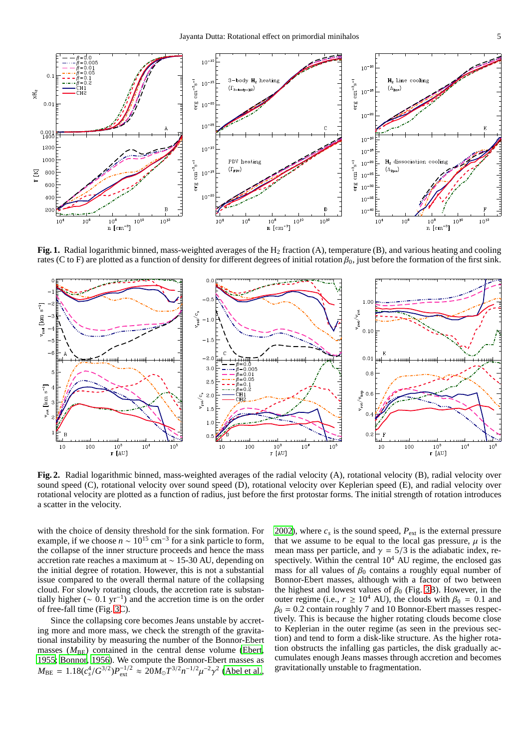

<span id="page-4-0"></span>**Fig. 1.** Radial logarithmic binned, mass-weighted averages of the H<sub>2</sub> fraction (A), temperature (B), and various heating and cooling rates (C to F) are plotted as a function of density for different degrees of initial rotation  $\beta_0$ , just before the formation of the first sink.



<span id="page-4-1"></span>**Fig. 2.** Radial logarithmic binned, mass-weighted averages of the radial velocity (A), rotational velocity (B), radial velocity over sound speed (C), rotational velocity over sound speed (D), rotational velocity over Keplerian speed (E), and radial velocity over rotational velocity are plotted as a function of radius, just before the first protostar forms. The initial strength of rotation introduces a scatter in the velocity.

with the choice of density threshold for the sink formation. For example, if we choose  $n \sim 10^{15}$  cm<sup>-3</sup> for a sink particle to form, the collapse of the inner structure proceeds and hence the mass accretion rate reaches a maximum at ∼ 15-30 AU, depending on the initial degree of rotation. However, this is not a substantial issue compared to the overall thermal nature of the collapsing cloud. For slowly rotating clouds, the accretion rate is substantially higher ( $\sim 0.1 \text{ yr}^{-1}$ ) and the accretion time is on the order of free-fall time (Fig. [3C](#page-5-1)).

Since the collapsing core becomes Jeans unstable by accreting more and more mass, we check the strength of the gravitational instability by measuring the number of the Bonnor-Ebert masses  $(M_{\text{BE}})$  contained in the central dense volume [\(Ebert,](#page-8-13) [1955](#page-8-13); [Bonnor, 1956\)](#page-8-14). We compute the Bonnor-Ebert masses as  $M_{\text{BE}} = 1.18(c_s^4/G^{3/2})P_{\text{ext}}^{-1/2} \approx 20M_{\odot}T^{3/2}n^{-1/2}\mu^{-2}\gamma^2$  [\(Abel et al.](#page-8-6),

[2002\)](#page-8-6), where  $c_s$  is the sound speed,  $P_{ext}$  is the external pressure that we assume to be equal to the local gas pressure,  $\mu$  is the mean mass per particle, and  $\gamma = 5/3$  is the adiabatic index, respectively. Within the central  $10<sup>4</sup>$  AU regime, the enclosed gas mass for all values of  $\beta_0$  contains a roughly equal number of Bonnor-Ebert masses, although with a factor of two between the highest and lowest values of  $\beta_0$  (Fig. [3B](#page-5-1)). However, in the outer regime (i.e.,  $r \ge 10^4$  AU), the clouds with  $\beta_0 = 0.1$  and  $\beta_0 = 0.2$  contain roughly 7 and 10 Bonnor-Ebert masses respectively. This is because the higher rotating clouds become close to Keplerian in the outer regime (as seen in the previous section) and tend to form a disk-like structure. As the higher rotation obstructs the infalling gas particles, the disk gradually accumulates enough Jeans masses through accretion and becomes gravitationally unstable to fragmentation.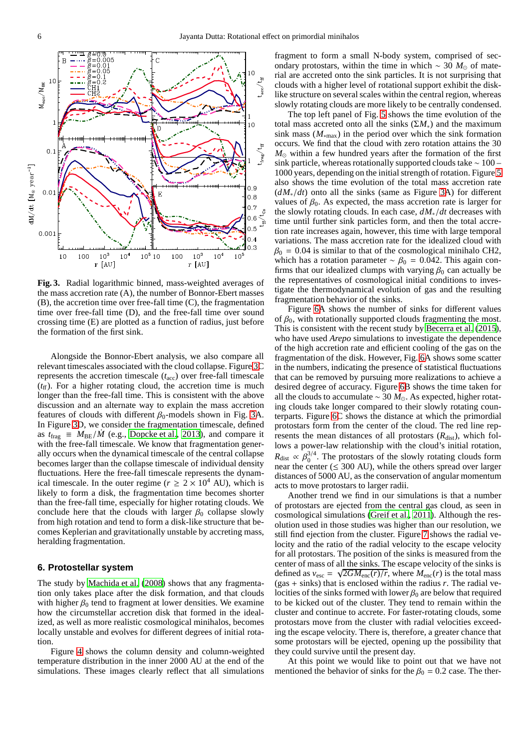

<span id="page-5-1"></span>**Fig. 3.** Radial logarithmic binned, mass-weighted averages of the mass accretion rate (A), the number of Bonnor-Ebert masses (B), the accretion time over free-fall time (C), the fragmentation time over free-fall time (D), and the free-fall time over sound crossing time (E) are plotted as a function of radius, just before the formation of the first sink.

Alongside the Bonnor-Ebert analysis, we also compare all relevant timescales associated with the cloud collapse. Figure [3C](#page-5-1) represents the accretion timescale (*t*acc) over free-fall timescale  $(t<sub>f</sub>)$ . For a higher rotating cloud, the accretion time is much longer than the free-fall time. This is consistent with the above discussion and an alternate way to explain the mass accretion features of clouds with different  $\beta_0$ -models shown in Fig. [3A](#page-5-1). In Figure [3D](#page-5-1), we consider the fragmentation timescale, defined as  $t_{\text{frag}} \equiv M_{\text{BE}}/\dot{M}$  (e.g., [Dopcke et al., 2013](#page-9-50)), and compare it with the free-fall timescale. We know that fragmentation generally occurs when the dynamical timescale of the central collapse becomes larger than the collapse timescale of individual density fluctuations. Here the free-fall timescale represents the dynamical timescale. In the outer regime ( $r \geq 2 \times 10^4$  AU), which is likely to form a disk, the fragmentation time becomes shorter than the free-fall time, especially for higher rotating clouds. We conclude here that the clouds with larger  $\beta_0$  collapse slowly from high rotation and tend to form a disk-like structure that becomes Keplerian and gravitationally unstable by accreting mass, heralding fragmentation.

## <span id="page-5-0"></span>**6. Protostellar system**

The study by [Machida et al.](#page-9-37) [\(2008\)](#page-9-37) shows that any fragmentation only takes place after the disk formation, and that clouds with higher  $\beta_0$  tend to fragment at lower densities. We examine how the circumstellar accretion disk that formed in the idealized, as well as more realistic cosmological minihalos, becomes locally unstable and evolves for different degrees of initial rotation.

Figure [4](#page-6-0) shows the column density and column-weighted temperature distribution in the inner 2000 AU at the end of the simulations. These images clearly reflect that all simulations fragment to form a small N-body system, comprised of secondary protostars, within the time in which ~ 30  $M_{\odot}$  of material are accreted onto the sink particles. It is not surprising that clouds with a higher level of rotational support exhibit the disklike structure on several scales within the central region, whereas slowly rotating clouds are more likely to be centrally condensed.

The top left panel of Fig. [5](#page-7-1) shows the time evolution of the total mass accreted onto all the sinks  $(\Sigma M_*)$  and the maximum sink mass  $(M_{*max})$  in the period over which the sink formation occurs. We find that the cloud with zero rotation attains the 30 *M*<sub>☉</sub> within a few hundred years after the formation of the first sink particle, whereas rotationally supported clouds take ∼ 100 – 1000 years, depending on the initial strength of rotation. Figure [5](#page-7-1) also shows the time evolution of the total mass accretion rate (*dM*∗/*dt*) onto all the sinks (same as Figure [3A](#page-5-1)) for different values of  $\beta_0$ . As expected, the mass accretion rate is larger for the slowly rotating clouds. In each case, *dM*∗/*dt* decreases with time until further sink particles form, and then the total accretion rate increases again, however, this time with large temporal variations. The mass accretion rate for the idealized cloud with  $\beta_0 = 0.04$  is similar to that of the cosmological minihalo CH2, which has a rotation parameter  $~ v 6<sub>0</sub> = 0.042$ . This again confirms that our idealized clumps with varying  $\beta_0$  can actually be the representatives of cosmological initial conditions to investigate the thermodynamical evolution of gas and the resulting fragmentation behavior of the sinks.

Figure [6A](#page-8-15) shows the number of sinks for different values of  $\beta_0$ , with rotationally supported clouds fragmenting the most. This is consistent with the recent study by [Becerra et al. \(2015\)](#page-8-16), who have used *Arepo* simulations to investigate the dependence of the high accretion rate and efficient cooling of the gas on the fragmentation of the disk. However, Fig. [6A](#page-8-15) shows some scatter in the numbers, indicating the presence of statistical fluctuations that can be removed by pursuing more realizations to achieve a desired degree of accuracy. Figure [6B](#page-8-15) shows the time taken for all the clouds to accumulate ∼ 30 *M*⊙. As expected, higher rotating clouds take longer compared to their slowly rotating counterparts. Figure [6C](#page-8-15) shows the distance at which the primordial protostars form from the center of the cloud. The red line represents the mean distances of all protostars  $(R<sub>dist</sub>)$ , which follows a power-law relationship with the cloud's initial rotation,  $R_{\text{dist}} \propto \beta_0^{3/4}$ . The protostars of the slowly rotating clouds form near the center ( $\leq$  300 AU), while the others spread over larger distances of 5000 AU, as the conservation of angular momentum acts to move protostars to larger radii.

Another trend we find in our simulations is that a number of protostars are ejected from the central gas cloud, as seen in cosmological simulations [\(Greif et al., 2011\)](#page-9-9). Although the resolution used in those studies was higher than our resolution, we still find ejection from the cluster. Figure [7](#page-8-17) shows the radial velocity and the ratio of the radial velocity to the escape velocity for all protostars. The position of the sinks is measured from the center of mass of all the sinks. The escape velocity of the sinks is defined as  $v_{\text{esc}} = \sqrt{2GM_{\text{enc}}(r)/r}$ , where  $M_{\text{enc}}(r)$  is the total mass (gas  $+$  sinks) that is enclosed within the radius  $r$ . The radial velocities of the sinks formed with lower  $\beta_0$  are below that required to be kicked out of the cluster. They tend to remain within the cluster and continue to accrete. For faster-rotating clouds, some protostars move from the cluster with radial velocities exceeding the escape velocity. There is, therefore, a greater chance that some protostars will be ejected, opening up the possibility that they could survive until the present day.

At this point we would like to point out that we have not mentioned the behavior of sinks for the  $\beta_0 = 0.2$  case. The ther-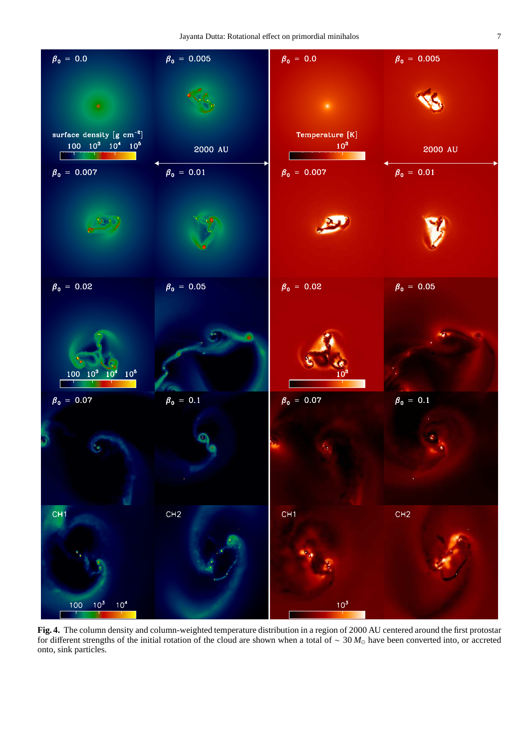

<span id="page-6-0"></span>**Fig. 4.** The column density and column-weighted temperature distribution in a region of 2000 AU centered around the first protostar for different strengths of the initial rotation of the cloud are shown when a total of ∼ 30 *M*<sup>⊙</sup> have been converted into, or accreted onto, sink particles.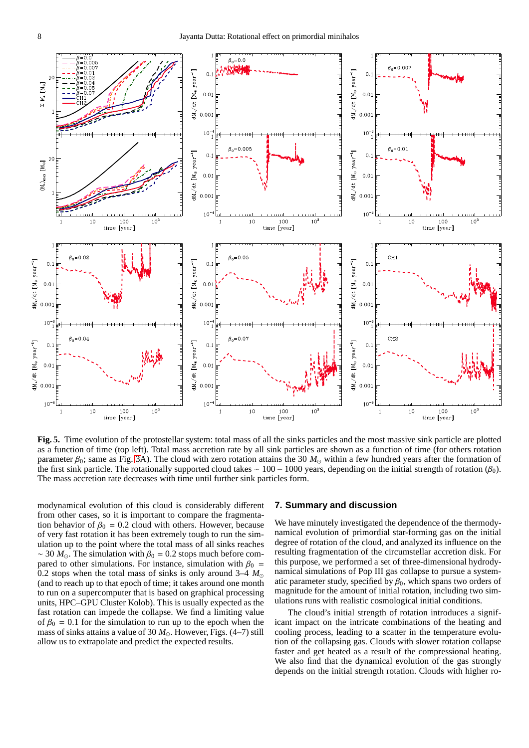

<span id="page-7-1"></span>**Fig. 5.** Time evolution of the protostellar system: total mass of all the sinks particles and the most massive sink particle are plotted as a function of time (top left). Total mass accretion rate by all sink particles are shown as a function of time (for others rotation parameter  $\beta_0$ ; same as Fig. [3A](#page-5-1)). The cloud with zero rotation attains the 30  $M_{\odot}$  within a few hundred years after the formation of the first sink particle. The rotationally supported cloud takes  $\sim 100 - 1000$  years, depending on the initial strength of rotation (β<sub>0</sub>). The mass accretion rate decreases with time until further sink particles form.

modynamical evolution of this cloud is considerably different from other cases, so it is important to compare the fragmentation behavior of  $\beta_0 = 0.2$  cloud with others. However, because of very fast rotation it has been extremely tough to run the simulation up to the point where the total mass of all sinks reaches ~ 30  $M_{\odot}$ . The simulation with  $\beta_0 = 0.2$  stops much before compared to other simulations. For instance, simulation with  $\beta_0$  = 0.2 stops when the total mass of sinks is only around 3–4  $M_{\odot}$ (and to reach up to that epoch of time; it takes around one month to run on a supercomputer that is based on graphical processing units, HPC–GPU Cluster Kolob). This is usually expected as the fast rotation can impede the collapse. We find a limiting value of  $\beta_0 = 0.1$  for the simulation to run up to the epoch when the mass of sinks attains a value of 30  $M_{\odot}$ . However, Figs. (4–7) still allow us to extrapolate and predict the expected results.

# <span id="page-7-0"></span>**7. Summary and discussion**

We have minutely investigated the dependence of the thermodynamical evolution of primordial star-forming gas on the initial degree of rotation of the cloud, and analyzed its influence on the resulting fragmentation of the circumstellar accretion disk. For this purpose, we performed a set of three-dimensional hydrodynamical simulations of Pop III gas collapse to pursue a systematic parameter study, specified by  $\beta_0$ , which spans two orders of magnitude for the amount of initial rotation, including two simulations runs with realistic cosmological initial conditions.

The cloud's initial strength of rotation introduces a significant impact on the intricate combinations of the heating and cooling process, leading to a scatter in the temperature evolution of the collapsing gas. Clouds with slower rotation collapse faster and get heated as a result of the compressional heating. We also find that the dynamical evolution of the gas strongly depends on the initial strength rotation. Clouds with higher ro-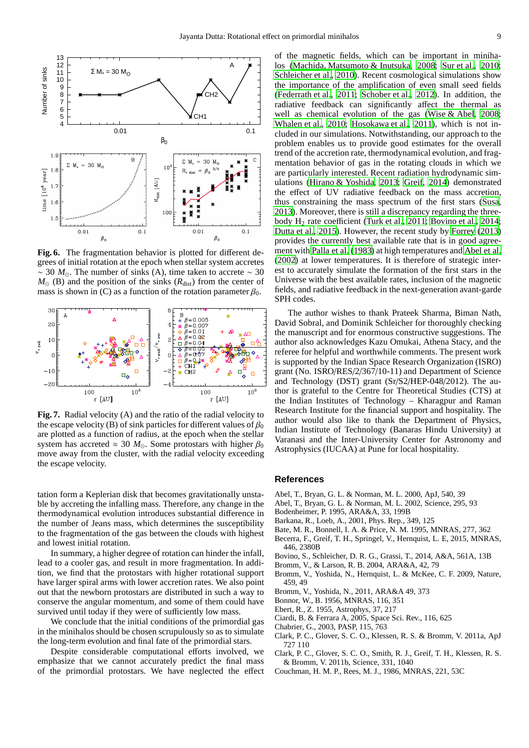

<span id="page-8-15"></span>**Fig. 6.** The fragmentation behavior is plotted for different degrees of initial rotation at the epoch when stellar system accretes ~ 30  $M_{\odot}$ . The number of sinks (A), time taken to accrete ~ 30  $M_{\odot}$  (B) and the position of the sinks ( $R_{dist}$ ) from the center of mass is shown in (C) as a function of the rotation parameter  $\beta_0$ .



<span id="page-8-17"></span>**Fig. 7.** Radial velocity (A) and the ratio of the radial velocity to the escape velocity (B) of sink particles for different values of  $\beta_0$ are plotted as a function of radius, at the epoch when the stellar system has accreted  $\approx 30$  *M*<sub>☉</sub>. Some protostars with higher  $\beta_0$ move away from the cluster, with the radial velocity exceeding the escape velocity.

tation form a Keplerian disk that becomes gravitationally unstable by accreting the infalling mass. Therefore, any change in the thermodynamical evolution introduces substantial difference in the number of Jeans mass, which determines the susceptibility to the fragmentation of the gas between the clouds with highest and lowest initial rotation.

In summary, a higher degree of rotation can hinder the infall, lead to a cooler gas, and result in more fragmentation. In addition, we find that the protostars with higher rotational support have larger spiral arms with lower accretion rates. We also point out that the newborn protostars are distributed in such a way to conserve the angular momentum, and some of them could have survived until today if they were of sufficiently low mass.

We conclude that the initial conditions of the primordial gas in the minihalos should be chosen scrupulously so as to simulate the long-term evolution and final fate of the primordial stars.

Despite considerable computational efforts involved, we emphasize that we cannot accurately predict the final mass of the primordial protostars. We have neglected the effect of the magnetic fields, which can be important in minihalos [\(Machida, Matsumoto & Inutsuka, 2008](#page-9-51); [Sur et al.](#page-9-52), [2010;](#page-9-52) [Schleicher et al., 2010\)](#page-9-53). Recent cosmological simulations show the importance of the amplification of even small seed fields [\(Federrath et al.](#page-9-54), [2011](#page-9-54); [Schober et al.](#page-9-55), [2012\)](#page-9-55). In addition, the radiative feedback can significantly affect the thermal as well as chemical evolution of the gas [\(Wise & Abel](#page-9-56), [2008;](#page-9-56) [Whalen et al., 2010;](#page-9-57) [Hosokawa et al.](#page-9-58), [2011\)](#page-9-58), which is not included in our simulations. Notwithstanding, our approach to the problem enables us to provide good estimates for the overall trend of the accretion rate, thermodynamical evolution, and fragmentation behavior of gas in the rotating clouds in which we are particularly interested. Recent radiation hydrodynamic simulations [\(Hirano & Yoshida, 2013;](#page-9-59) [Greif, 2014\)](#page-9-60) demonstrated the effect of UV radiative feedback on the mass accretion, thus constraining the mass spectrum of the first stars [\(Susa](#page-9-61), [2013\)](#page-9-61). Moreover, there is still a discrepancy regarding the three-body H<sub>2</sub> rate coefficient [\(Turk et al., 2011;](#page-9-24) [Bovino et al.](#page-8-18), [2014;](#page-8-18) [Dutta et al., 2015](#page-9-42)). However, the recent study by [Forrey \(2013\)](#page-9-62) provides the currently best available rate that is in good agreement with [Palla et al. \(1983\)](#page-9-19) at high temperatures and [Abel et](#page-8-6) al. [\(2002](#page-8-6)) at lower temperatures. It is therefore of strategic interest to accurately simulate the formation of the first stars in the Universe with the best available rates, inclusion of the magnetic fields, and radiative feedback in the next-generation avant-garde SPH codes.

The author wishes to thank Prateek Sharma, Biman Nath, David Sobral, and Dominik Schleicher for thoroughly checking the manuscript and for enormous constructive suggestions. The author also acknowledges Kazu Omukai, Athena Stacy, and the referee for helpful and worthwhile comments. The present work is supported by the Indian Space Research Organization (ISRO) grant (No. ISRO/RES/2/367/10-11) and Department of Science and Technology (DST) grant (Sr/S2/HEP-048/2012). The author is grateful to the Centre for Theoretical Studies (CTS) at the Indian Institutes of Technology – Kharagpur and Raman Research Institute for the financial support and hospitality. The author would also like to thank the Department of Physics, Indian Institute of Technology (Banaras Hindu University) at Varanasi and the Inter-University Center for Astronomy and Astrophysics (IUCAA) at Pune for local hospitality.

#### **References**

- <span id="page-8-5"></span>Abel, T., Bryan, G. L. & Norman, M. L. 2000, ApJ, 540, 39
- <span id="page-8-6"></span>Abel, T., Bryan, G. L. & Norman, M. L. 2002, Science, 295, 93
- <span id="page-8-11"></span>Bodenheimer, P. 1995, ARA&A, 33, 199B
- <span id="page-8-1"></span>Barkana, R., Loeb, A., 2001, Phys. Rep., 349, 125
- <span id="page-8-12"></span>Bate, M. R., Bonnell, I. A. & Price, N. M. 1995, MNRAS, 277, 362
- <span id="page-8-16"></span>Becerra, F., Greif, T. H., Springel, V., Hernquist, L. E, 2015, MNRAS, 446, 2380B
- <span id="page-8-18"></span>Bovino, S., Schleicher, D. R. G., Grassi, T., 2014, A&A, 561A, 13B
- <span id="page-8-2"></span>Bromm, V., & Larson, R. B. 2004, ARA&A, 42, 79
- <span id="page-8-8"></span>Bromm, V., Yoshida, N., Hernquist, L. & McKee, C. F. 2009, Nature, 459, 49
- <span id="page-8-4"></span>Bromm, V., Yoshida, N., 2011, ARA&A 49, 373
- <span id="page-8-14"></span>Bonnor, W., B. 1956, MNRAS, 116, 351
- <span id="page-8-13"></span>Ebert, R., Z. 1955, Astrophys, 37, 217
- <span id="page-8-3"></span>Ciardi, B. & Ferrara A, 2005, Space Sci. Rev., 116, 625
- <span id="page-8-9"></span>Chabrier, G., 2003, PASP, 115, 763
- <span id="page-8-7"></span>Clark, P. C., Glover, S. C. O., Klessen, R. S. & Bromm, V. 2011a, ApJ 727 110
- <span id="page-8-10"></span>Clark, P. C., Glover, S. C. O., Smith, R. J., Greif, T. H., Klessen, R. S. & Bromm, V. 2011b, Science, 331, 1040
- <span id="page-8-0"></span>Couchman, H. M. P., Rees, M. J., 1986, MNRAS, 221, 53C